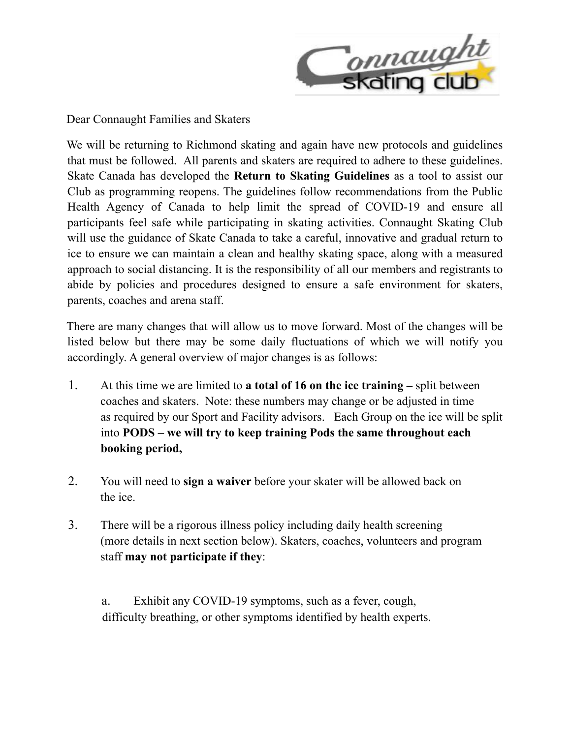

Dear Connaught Families and Skaters

We will be returning to Richmond skating and again have new protocols and guidelines that must be followed. All parents and skaters are required to adhere to these guidelines. Skate Canada has developed the **Return to Skating Guidelines** as a tool to assist our Club as programming reopens. The guidelines follow recommendations from the Public Health Agency of Canada to help limit the spread of COVID-19 and ensure all participants feel safe while participating in skating activities. Connaught Skating Club will use the guidance of Skate Canada to take a careful, innovative and gradual return to ice to ensure we can maintain a clean and healthy skating space, along with a measured approach to social distancing. It is the responsibility of all our members and registrants to abide by policies and procedures designed to ensure a safe environment for skaters, parents, coaches and arena staff.

There are many changes that will allow us to move forward. Most of the changes will be listed below but there may be some daily fluctuations of which we will notify you accordingly. A general overview of major changes is as follows:

- 1. At this time we are limited to **a total of 16 on the ice training** split between coaches and skaters. Note: these numbers may change or be adjusted in time as required by our Sport and Facility advisors. Each Group on the ice will be split into **PODS – we will try to keep training Pods the same throughout each booking period,**
- 2. You will need to **sign a waiver** before your skater will be allowed back on the ice.
- 3. There will be a rigorous illness policy including daily health screening (more details in next section below). Skaters, coaches, volunteers and program staff **may not participate if they**:

a. Exhibit any COVID-19 symptoms, such as a fever, cough, difficulty breathing, or other symptoms identified by health experts.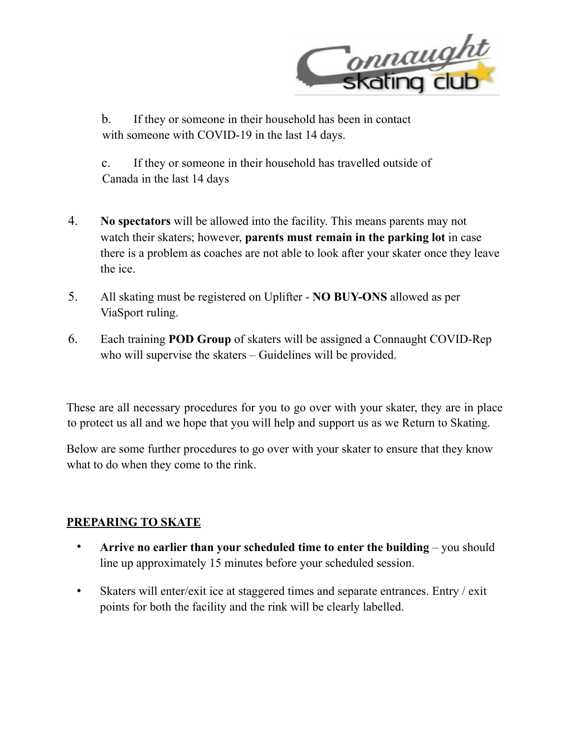

b. If they or someone in their household has been in contact with someone with COVID-19 in the last 14 days.

c. If they or someone in their household has travelled outside of Canada in the last 14 days

- 4. **No spectators** will be allowed into the facility. This means parents may not watch their skaters; however, **parents must remain in the parking lot** in case there is a problem as coaches are not able to look after your skater once they leave the ice.
- 5. All skating must be registered on Uplifter **NO BUY-ONS** allowed as per ViaSport ruling.
- 6. Each training **POD Group** of skaters will be assigned a Connaught COVID-Rep who will supervise the skaters – Guidelines will be provided.

These are all necessary procedures for you to go over with your skater, they are in place to protect us all and we hope that you will help and support us as we Return to Skating.

Below are some further procedures to go over with your skater to ensure that they know what to do when they come to the rink.

# **PREPARING TO SKATE**

- **Arrive no earlier than your scheduled time to enter the building** you should line up approximately 15 minutes before your scheduled session.
- Skaters will enter/exit ice at staggered times and separate entrances. Entry / exit points for both the facility and the rink will be clearly labelled.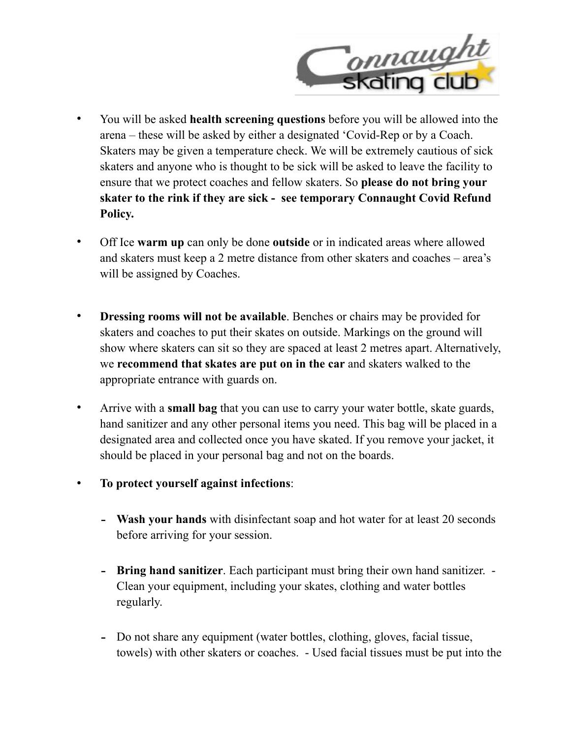

- You will be asked **health screening questions** before you will be allowed into the arena – these will be asked by either a designated 'Covid-Rep or by a Coach. Skaters may be given a temperature check. We will be extremely cautious of sick skaters and anyone who is thought to be sick will be asked to leave the facility to ensure that we protect coaches and fellow skaters. So **please do not bring your skater to the rink if they are sick - see temporary Connaught Covid Refund Policy.**
- Off Ice **warm up** can only be done **outside** or in indicated areas where allowed and skaters must keep a 2 metre distance from other skaters and coaches – area's will be assigned by Coaches.
- **Dressing rooms will not be available.** Benches or chairs may be provided for skaters and coaches to put their skates on outside. Markings on the ground will show where skaters can sit so they are spaced at least 2 metres apart. Alternatively, we **recommend that skates are put on in the car** and skaters walked to the appropriate entrance with guards on.
- Arrive with a **small bag** that you can use to carry your water bottle, skate guards, hand sanitizer and any other personal items you need. This bag will be placed in a designated area and collected once you have skated. If you remove your jacket, it should be placed in your personal bag and not on the boards.
- **To protect yourself against infections**:
	- **Wash your hands** with disinfectant soap and hot water for at least 20 seconds before arriving for your session.
	- **Bring hand sanitizer**. Each participant must bring their own hand sanitizer. Clean your equipment, including your skates, clothing and water bottles regularly.
	- Do not share any equipment (water bottles, clothing, gloves, facial tissue, towels) with other skaters or coaches. - Used facial tissues must be put into the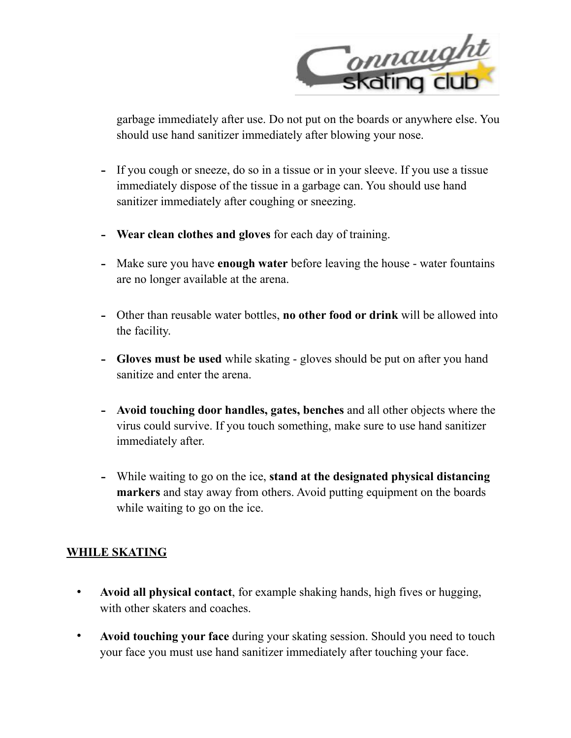

garbage immediately after use. Do not put on the boards or anywhere else. You should use hand sanitizer immediately after blowing your nose.

- If you cough or sneeze, do so in a tissue or in your sleeve. If you use a tissue immediately dispose of the tissue in a garbage can. You should use hand sanitizer immediately after coughing or sneezing.
- **Wear clean clothes and gloves** for each day of training.
- Make sure you have **enough water** before leaving the house water fountains are no longer available at the arena.
- Other than reusable water bottles, **no other food or drink** will be allowed into the facility.
- **Gloves must be used** while skating gloves should be put on after you hand sanitize and enter the arena.
- **Avoid touching door handles, gates, benches** and all other objects where the virus could survive. If you touch something, make sure to use hand sanitizer immediately after.
- While waiting to go on the ice, **stand at the designated physical distancing markers** and stay away from others. Avoid putting equipment on the boards while waiting to go on the ice.

## **WHILE SKATING**

- **Avoid all physical contact**, for example shaking hands, high fives or hugging, with other skaters and coaches.
- **Avoid touching your face** during your skating session. Should you need to touch your face you must use hand sanitizer immediately after touching your face.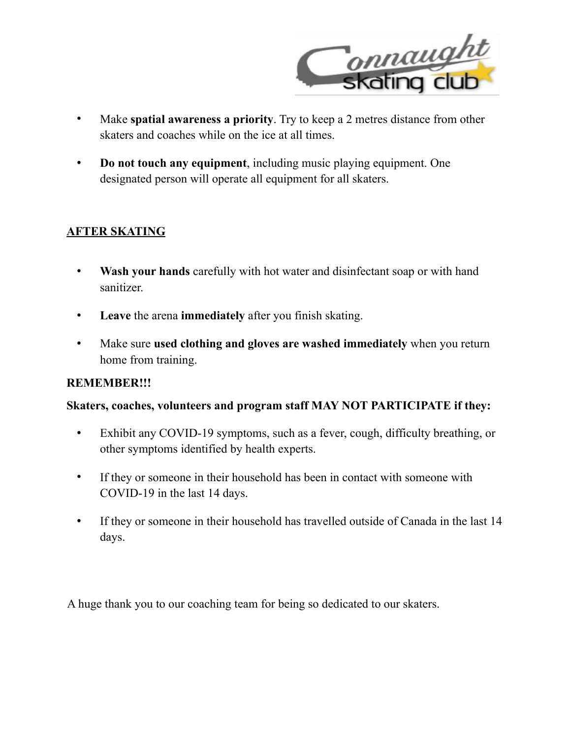

- Make **spatial awareness a priority**. Try to keep a 2 metres distance from other skaters and coaches while on the ice at all times.
- **Do not touch any equipment**, including music playing equipment. One designated person will operate all equipment for all skaters.

# **AFTER SKATING**

- **Wash your hands** carefully with hot water and disinfectant soap or with hand sanitizer.
- **Leave** the arena **immediately** after you finish skating.
- Make sure **used clothing and gloves are washed immediately** when you return home from training.

## **REMEMBER!!!**

### **Skaters, coaches, volunteers and program staff MAY NOT PARTICIPATE if they:**

- Exhibit any COVID-19 symptoms, such as a fever, cough, difficulty breathing, or other symptoms identified by health experts.
- If they or someone in their household has been in contact with someone with COVID-19 in the last 14 days.
- If they or someone in their household has travelled outside of Canada in the last 14 days.

A huge thank you to our coaching team for being so dedicated to our skaters.